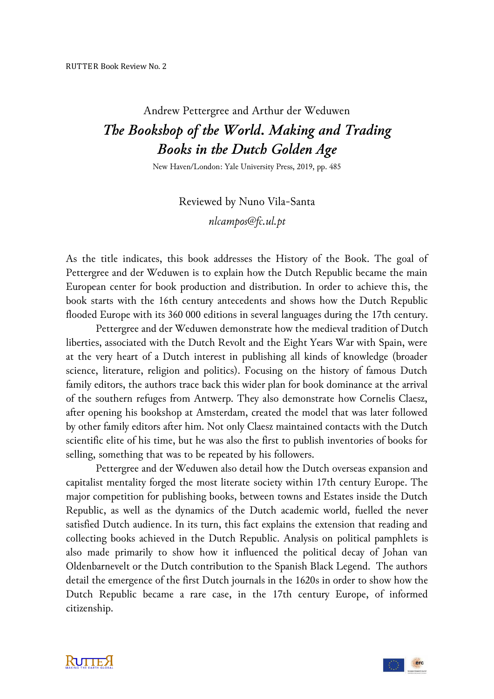## Andrew Pettergree and Arthur der Weduwen *The Bookshop of the World. Making and Trading Books in the Dutch Golden Age*

New Haven/London: Yale University Press, 2019, pp. 485

Reviewed by Nuno Vila-Santa *nlcampos@fc.ul.pt*

As the title indicates, this book addresses the History of the Book. The goal of Pettergree and der Weduwen is to explain how the Dutch Republic became the main European center for book production and distribution. In order to achieve this, the book starts with the 16th century antecedents and shows how the Dutch Republic flooded Europe with its 360 000 editions in several languages during the 17th century.

Pettergree and der Weduwen demonstrate how the medieval tradition of Dutch liberties, associated with the Dutch Revolt and the Eight Years War with Spain, were at the very heart of a Dutch interest in publishing all kinds of knowledge (broader science, literature, religion and politics). Focusing on the history of famous Dutch family editors, the authors trace back this wider plan for book dominance at the arrival of the southern refuges from Antwerp. They also demonstrate how Cornelis Claesz, after opening his bookshop at Amsterdam, created the model that was later followed by other family editors after him. Not only Claesz maintained contacts with the Dutch scientific elite of his time, but he was also the first to publish inventories of books for selling, something that was to be repeated by his followers.

Pettergree and der Weduwen also detail how the Dutch overseas expansion and capitalist mentality forged the most literate society within 17th century Europe. The major competition for publishing books, between towns and Estates inside the Dutch Republic, as well as the dynamics of the Dutch academic world, fuelled the never satisfied Dutch audience. In its turn, this fact explains the extension that reading and collecting books achieved in the Dutch Republic. Analysis on political pamphlets is also made primarily to show how it influenced the political decay of Johan van Oldenbarnevelt or the Dutch contribution to the Spanish Black Legend. The authors detail the emergence of the first Dutch journals in the 1620s in order to show how the Dutch Republic became a rare case, in the 17th century Europe, of informed citizenship.